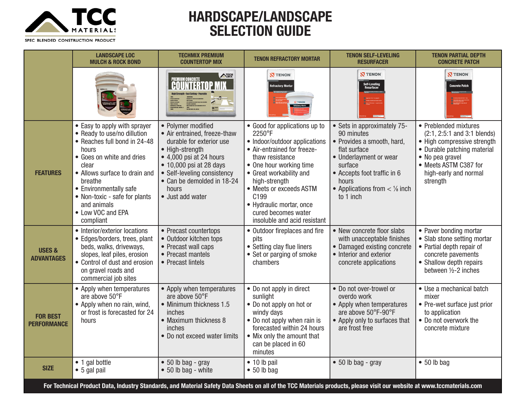

## **HARDSCAPE/LANDSCAPE SELECTION GUIDE**

SPEC BLENDED CONSTRUCTION PRODUCT

|                                        | <b>LANDSCAPE LOC</b><br><b>MULCH &amp; ROCK BOND</b>                                                                                                                                                                                                                                               | <b>TECHMIX PREMIUM</b><br><b>COUNTERTOP MIX</b>                                                                                                                                                                                                           | <b>TENON REFRACTORY MORTAR</b>                                                                                                                                                                                                                                                                                                      | <b>TENON SELF-LEVELING</b><br><b>RESURFACER</b>                                                                                                                                                                         | <b>TENON PARTIAL DEPTH</b><br><b>CONCRETE PATCH</b>                                                                                                                                                 |
|----------------------------------------|----------------------------------------------------------------------------------------------------------------------------------------------------------------------------------------------------------------------------------------------------------------------------------------------------|-----------------------------------------------------------------------------------------------------------------------------------------------------------------------------------------------------------------------------------------------------------|-------------------------------------------------------------------------------------------------------------------------------------------------------------------------------------------------------------------------------------------------------------------------------------------------------------------------------------|-------------------------------------------------------------------------------------------------------------------------------------------------------------------------------------------------------------------------|-----------------------------------------------------------------------------------------------------------------------------------------------------------------------------------------------------|
|                                        |                                                                                                                                                                                                                                                                                                    | NECH                                                                                                                                                                                                                                                      | <b>N</b> TENON<br>Refractory Morta                                                                                                                                                                                                                                                                                                  | <b>N TENON</b><br>Self-Leveling<br>Resurfacer                                                                                                                                                                           | <b>N TENON</b><br><b>Concrete Patch</b><br>and and construction<br>The Construction of Construction<br>The Constitution of the Construction                                                         |
| <b>FEATURES</b>                        | • Easy to apply with sprayer<br>• Ready to use/no dillution<br>• Reaches full bond in 24-48<br>hours<br>• Goes on white and dries<br>clear<br>• Allows surface to drain and<br>breathe<br>• Environmentally safe<br>• Non-toxic - safe for plants<br>and animals<br>• Low VOC and EPA<br>compliant | • Polymer modified<br>• Air entrained, freeze-thaw<br>durable for exterior use<br>• High-strength<br>• 4,000 psi at 24 hours<br>$\bullet$ 10,000 psi at 28 days<br>• Self-leveling consistency<br>• Can be demolded in 18-24<br>hours<br>• Just add water | • Good for applications up to<br>2250°F<br>• Indoor/outdoor applications<br>• Air-entrained for freeze-<br>thaw resistance<br>• One hour working time<br>• Great workability and<br>high-strength<br>• Meets or exceeds ASTM<br>C <sub>199</sub><br>• Hydraulic mortar, once<br>cured becomes water<br>insoluble and acid resistant | • Sets in approximately 75-<br>90 minutes<br>• Provides a smooth, hard,<br>flat surface<br>• Underlayment or wear<br>surface<br>• Accepts foot traffic in 6<br>hours<br>• Applications from $\lt$ 1/8 inch<br>to 1 inch | • Preblended mixtures<br>(2:1, 2:5:1 and 3:1 blends)<br>• High compressive strength<br>• Durable patching material<br>• No pea gravel<br>• Meets ASTM C387 for<br>high-early and normal<br>strength |
| <b>USES &amp;</b><br><b>ADVANTAGES</b> | • Interior/exterior locations<br>• Edges/borders, trees, plant<br>beds, walks, driveways,<br>slopes, leaf piles, erosion<br>• Control of dust and erosion<br>on gravel roads and<br>commercial job sites                                                                                           | • Precast countertops<br>• Outdoor kitchen tops<br>• Precast wall caps<br>• Precast mantels<br>• Precast lintels                                                                                                                                          | • Outdoor fireplaces and fire<br>pits<br>• Setting clay flue liners<br>• Set or parging of smoke<br>chambers                                                                                                                                                                                                                        | • New concrete floor slabs<br>with unacceptable finishes<br>• Damaged existing concrete<br>• Interior and exterior<br>concrete applications                                                                             | • Paver bonding mortar<br>• Slab stone setting mortar<br>• Partial depth repair of<br>concrete pavements<br>• Shallow depth repairs<br>between 1/2-2 inches                                         |
| <b>FOR BEST</b><br><b>PERFORMANCE</b>  | • Apply when temperatures<br>are above 50°F<br>• Apply when no rain, wind,<br>or frost is forecasted for 24<br>hours                                                                                                                                                                               | • Apply when temperatures<br>are above 50°F<br>• Minimum thickness 1.5<br>inches<br>• Maximum thickness 8<br>inches<br>• Do not exceed water limits                                                                                                       | • Do not apply in direct<br>sunlight<br>• Do not apply on hot or<br>windy days<br>• Do not apply when rain is<br>forecasted within 24 hours<br>• Mix only the amount that<br>can be placed in 60<br>minutes                                                                                                                         | • Do not over-trowel or<br>overdo work<br>• Apply when temperatures<br>are above 50°F-90°F<br>• Apply only to surfaces that<br>are frost free                                                                           | • Use a mechanical batch<br>mixer<br>• Pre-wet surface just prior<br>to application<br>• Do not overwork the<br>concrete mixture                                                                    |
| <b>SIZE</b>                            | • 1 gal bottle<br>• 5 gal pail                                                                                                                                                                                                                                                                     | $\bullet$ 50 lb bag - gray<br>$\bullet$ 50 lb bag - white                                                                                                                                                                                                 | $\bullet$ 10 lb pail<br>$\bullet$ 50 lb bag                                                                                                                                                                                                                                                                                         | $\bullet$ 50 lb bag - gray                                                                                                                                                                                              | $\bullet$ 50 lb bag                                                                                                                                                                                 |

**For Technical Product Data, Industry Standards, and Material Safety Data Sheets on all of the TCC Materials products, please visit our website at www.tccmaterials.com**